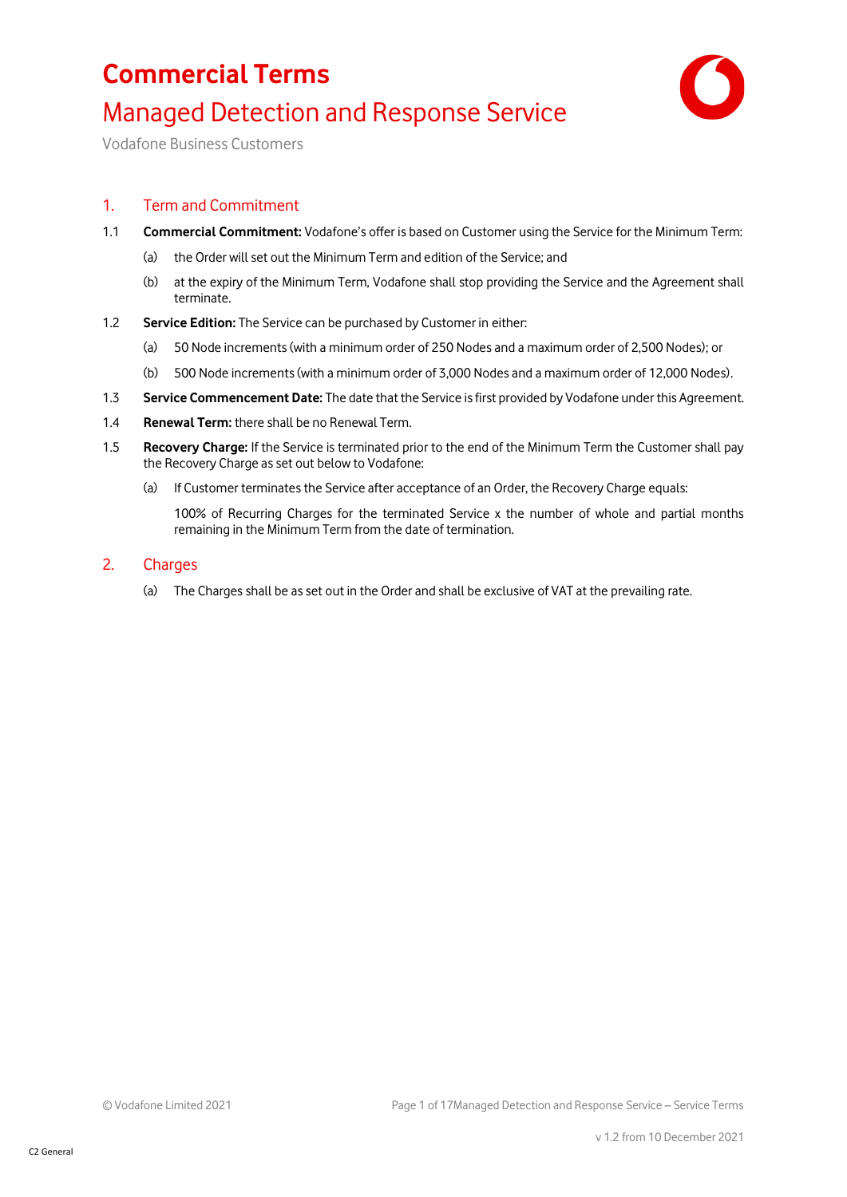### **Commercial Terms** Managed Detection and Response Service



Vodafone Business Customers

### 1. Term and Commitment

- 1.1 **Commercial Commitment:** Vodafone's offer is based on Customer using the Service for the Minimum Term:
	- (a) the Order will set out the Minimum Term and edition of the Service; and
	- (b) at the expiry of the Minimum Term, Vodafone shall stop providing the Service and the Agreement shall terminate.
- 1.2 **Service Edition:** The Service can be purchased by Customer in either:
	- (a) 50 Node increments (with a minimum order of 250 Nodes and a maximum order of 2,500 Nodes); or
	- (b) 500 Node increments (with a minimum order of 3,000 Nodes and a maximum order of 12,000 Nodes).
- 1.3 **Service Commencement Date:** The date that the Service is first provided by Vodafone under this Agreement.
- 1.4 **Renewal Term:** there shall be no Renewal Term.
- 1.5 **Recovery Charge:** If the Service is terminated prior to the end of the Minimum Term the Customer shall pay the Recovery Charge as set out below to Vodafone:
	- (a) If Customer terminates the Service after acceptance of an Order, the Recovery Charge equals:

100% of Recurring Charges for the terminated Service x the number of whole and partial months remaining in the Minimum Term from the date of termination.

- 2. Charges
	- (a) The Charges shall be as set out in the Order and shall be exclusive of VAT at the prevailing rate.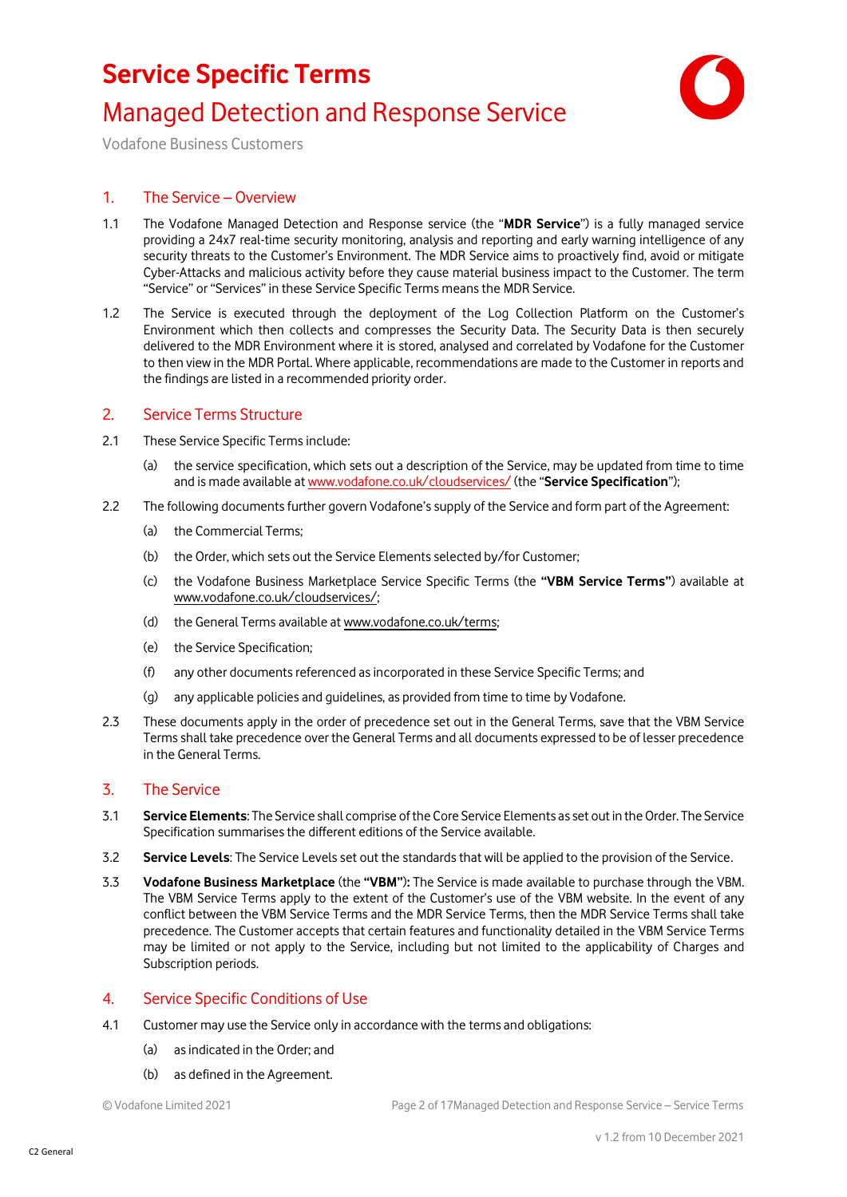### **Service Specific Terms**

### Managed Detection and Response Service



Vodafone Business Customers

#### 1. The Service – Overview

- 1.1 The Vodafone Managed Detection and Response service (the "**MDR Service**") is a fully managed service providing a 24x7 real-time security monitoring, analysis and reporting and early warning intelligence of any security threats to the Customer's Environment. The MDR Service aims to proactively find, avoid or mitigate Cyber-Attacks and malicious activity before they cause material business impact to the Customer. The term "Service" or "Services" in these Service Specific Terms means the MDR Service.
- 1.2 The Service is executed through the deployment of the Log Collection Platform on the Customer's Environment which then collects and compresses the Security Data. The Security Data is then securely delivered to the MDR Environment where it is stored, analysed and correlated by Vodafone for the Customer to then view in the MDR Portal. Where applicable, recommendations are made to the Customer in reports and the findings are listed in a recommended priority order.

#### 2. Service Terms Structure

- 2.1 These Service Specific Terms include:
	- (a) the service specification, which sets out a description of the Service, may be updated from time to time and is made available a[t www.vodafone.co.uk/cloudservices/](http://www.vodafone.co.uk/cloudservices/) (the "**Service Specification**");
- 2.2 The following documents further govern Vodafone's supply of the Service and form part of the Agreement:
	- (a) the Commercial Terms;
	- (b) the Order, which sets out the Service Elements selected by/for Customer;
	- (c) the Vodafone Business Marketplace Service Specific Terms (the **"VBM Service Terms"**) available at [www.vodafone.co.uk/cloudservices/;](http://www.vodafone.co.uk/cloudservices/)
	- (d) the General Terms available at [www.vodafone.co.uk/terms;](http://www.vodafone.co.uk/terms)
	- (e) the Service Specification;
	- (f) any other documents referenced as incorporated in these Service Specific Terms; and
	- (g) any applicable policies and guidelines, as provided from time to time by Vodafone.
- 2.3 These documents apply in the order of precedence set out in the General Terms, save that the VBM Service Terms shall take precedence over the General Terms and all documents expressed to be of lesser precedence in the General Terms.

#### 3. The Service

- 3.1 **Service Elements**: The Service shall comprise ofthe Core Service Elements asset out in the Order. The Service Specification summarises the different editions of the Service available.
- 3.2 **Service Levels**: The Service Levels set out the standards that will be applied to the provision of the Service.
- 3.3 **Vodafone Business Marketplace** (the **"VBM"**)**:** The Service is made available to purchase through the VBM. The VBM Service Terms apply to the extent of the Customer's use of the VBM website. In the event of any conflict between the VBM Service Terms and the MDR Service Terms, then the MDR Service Terms shall take precedence. The Customer accepts that certain features and functionality detailed in the VBM Service Terms may be limited or not apply to the Service, including but not limited to the applicability of Charges and Subscription periods.

#### 4. Service Specific Conditions of Use

- 4.1 Customer may use the Service only in accordance with the terms and obligations:
	- (a) as indicated in the Order; and
	- (b) as defined in the Agreement.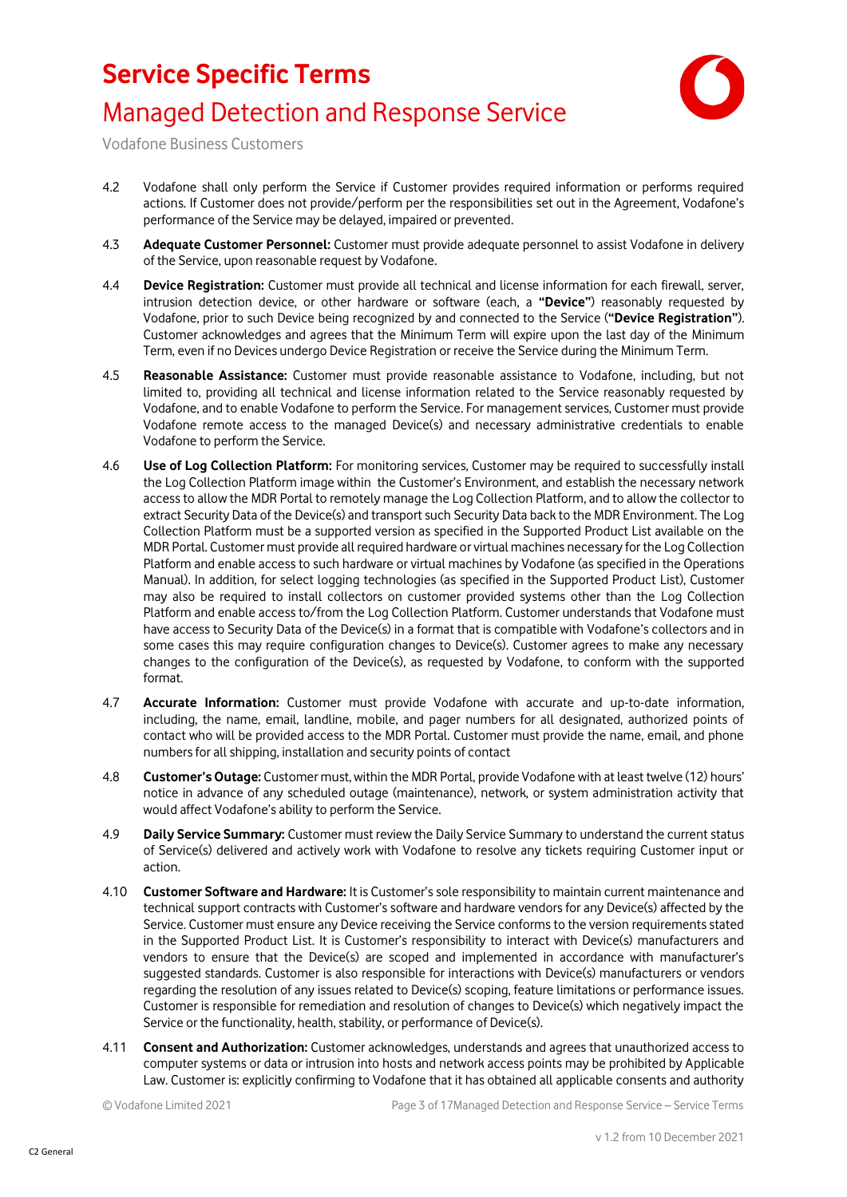

Vodafone Business Customers

- 4.2 Vodafone shall only perform the Service if Customer provides required information or performs required actions. If Customer does not provide/perform per the responsibilities set out in the Agreement, Vodafone's performance of the Service may be delayed, impaired or prevented.
- 4.3 **Adequate Customer Personnel:** Customer must provide adequate personnel to assist Vodafone in delivery of the Service, upon reasonable request by Vodafone.
- 4.4 **Device Registration:** Customer must provide all technical and license information for each firewall, server, intrusion detection device, or other hardware or software (each, a **"Device"**) reasonably requested by Vodafone, prior to such Device being recognized by and connected to the Service (**"Device Registration"**). Customer acknowledges and agrees that the Minimum Term will expire upon the last day of the Minimum Term, even if no Devices undergo Device Registration or receive the Service during the Minimum Term.
- 4.5 **Reasonable Assistance:** Customer must provide reasonable assistance to Vodafone, including, but not limited to, providing all technical and license information related to the Service reasonably requested by Vodafone, and to enable Vodafone to perform the Service. For management services, Customer must provide Vodafone remote access to the managed Device(s) and necessary administrative credentials to enable Vodafone to perform the Service.
- 4.6 **Use of Log Collection Platform:** For monitoring services, Customer may be required to successfully install the Log Collection Platform image within the Customer's Environment, and establish the necessary network access to allow the MDR Portal to remotely manage the Log Collection Platform, and to allow the collector to extract Security Data of the Device(s) and transport such Security Data back to the MDR Environment. The Log Collection Platform must be a supported version as specified in the Supported Product List available on the MDR Portal. Customer must provide all required hardware or virtual machines necessary for the Log Collection Platform and enable access to such hardware or virtual machines by Vodafone (as specified in the Operations Manual). In addition, for select logging technologies (as specified in the Supported Product List), Customer may also be required to install collectors on customer provided systems other than the Log Collection Platform and enable access to/from the Log Collection Platform. Customer understands that Vodafone must have access to Security Data of the Device(s) in a format that is compatible with Vodafone's collectors and in some cases this may require configuration changes to Device(s). Customer agrees to make any necessary changes to the configuration of the Device(s), as requested by Vodafone, to conform with the supported format.
- 4.7 **Accurate Information:** Customer must provide Vodafone with accurate and up-to-date information, including, the name, email, landline, mobile, and pager numbers for all designated, authorized points of contact who will be provided access to the MDR Portal. Customer must provide the name, email, and phone numbers for all shipping, installation and security points of contact
- 4.8 **Customer's Outage:** Customer must, within the MDR Portal, provide Vodafone with at least twelve (12) hours' notice in advance of any scheduled outage (maintenance), network, or system administration activity that would affect Vodafone's ability to perform the Service.
- 4.9 **Daily Service Summary:** Customer must review the Daily Service Summary to understand the current status of Service(s) delivered and actively work with Vodafone to resolve any tickets requiring Customer input or action.
- 4.10 **Customer Software and Hardware:** It is Customer's sole responsibility to maintain current maintenance and technical support contracts with Customer's software and hardware vendors for any Device(s) affected by the Service. Customer must ensure any Device receiving the Service conforms to the version requirements stated in the Supported Product List. It is Customer's responsibility to interact with Device(s) manufacturers and vendors to ensure that the Device(s) are scoped and implemented in accordance with manufacturer's suggested standards. Customer is also responsible for interactions with Device(s) manufacturers or vendors regarding the resolution of any issues related to Device(s) scoping, feature limitations or performance issues. Customer is responsible for remediation and resolution of changes to Device(s) which negatively impact the Service or the functionality, health, stability, or performance of Device(s).
- 4.11 **Consent and Authorization:** Customer acknowledges, understands and agrees that unauthorized access to computer systems or data or intrusion into hosts and network access points may be prohibited by Applicable Law. Customer is: explicitly confirming to Vodafone that it has obtained all applicable consents and authority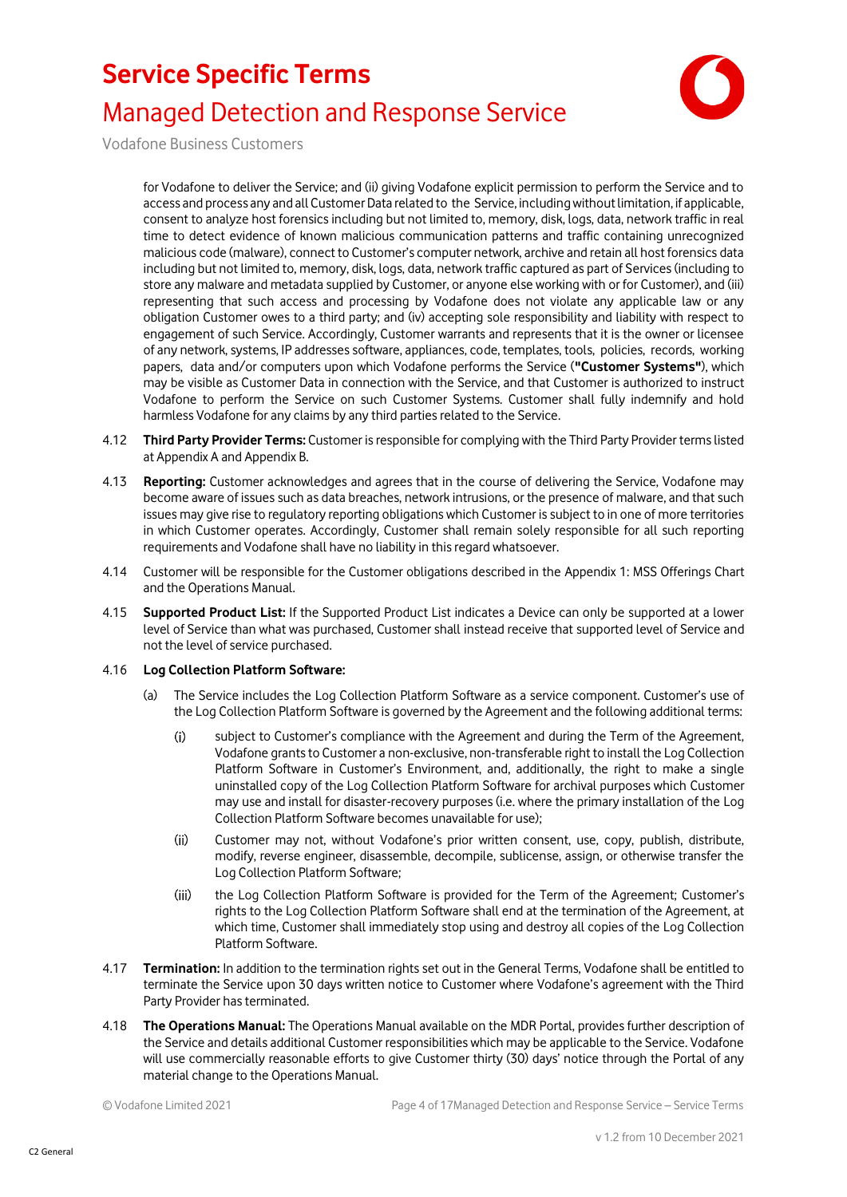

Vodafone Business Customers

for Vodafone to deliver the Service; and (ii) giving Vodafone explicit permission to perform the Service and to access and process any and all Customer Data related to the Service, including without limitation, if applicable, consent to analyze host forensics including but not limited to, memory, disk, logs, data, network traffic in real time to detect evidence of known malicious communication patterns and traffic containing unrecognized malicious code (malware), connect to Customer's computer network, archive and retain all host forensics data including but not limited to, memory, disk, logs, data, network traffic captured as part of Services (including to store any malware and metadata supplied by Customer, or anyone else working with or for Customer), and (iii) representing that such access and processing by Vodafone does not violate any applicable law or any obligation Customer owes to a third party; and (iv) accepting sole responsibility and liability with respect to engagement of such Service. Accordingly, Customer warrants and represents that it is the owner or licensee of any network, systems, IP addresses software, appliances, code, templates, tools, policies, records, working papers, data and/or computers upon which Vodafone performs the Service (**"Customer Systems"**), which may be visible as Customer Data in connection with the Service, and that Customer is authorized to instruct Vodafone to perform the Service on such Customer Systems. Customer shall fully indemnify and hold harmless Vodafone for any claims by any third parties related to the Service.

- 4.12 **Third Party Provider Terms:** Customer is responsible for complying with the Third Party Provider terms listed at Appendix A and Appendix B.
- 4.13 **Reporting:** Customer acknowledges and agrees that in the course of delivering the Service, Vodafone may become aware of issues such as data breaches, network intrusions, or the presence of malware, and that such issues may give rise to regulatory reporting obligations which Customer is subject to in one of more territories in which Customer operates. Accordingly, Customer shall remain solely responsible for all such reporting requirements and Vodafone shall have no liability in this regard whatsoever.
- 4.14 Customer will be responsible for the Customer obligations described in the Appendix 1: MSS Offerings Chart and the Operations Manual.
- 4.15 **Supported Product List:** If the Supported Product List indicates a Device can only be supported at a lower level of Service than what was purchased, Customer shall instead receive that supported level of Service and not the level of service purchased.

#### 4.16 **Log Collection Platform Software:**

- (a) The Service includes the Log Collection Platform Software as a service component. Customer's use of the Log Collection Platform Software is governed by the Agreement and the following additional terms:
	- $(i)$ subject to Customer's compliance with the Agreement and during the Term of the Agreement, Vodafone grants to Customer a non-exclusive, non-transferable right to install the Log Collection Platform Software in Customer's Environment, and, additionally, the right to make a single uninstalled copy of the Log Collection Platform Software for archival purposes which Customer may use and install for disaster-recovery purposes (i.e. where the primary installation of the Log Collection Platform Software becomes unavailable for use);
	- $(ii)$ Customer may not, without Vodafone's prior written consent, use, copy, publish, distribute, modify, reverse engineer, disassemble, decompile, sublicense, assign, or otherwise transfer the Log Collection Platform Software;
	- $(iii)$ the Log Collection Platform Software is provided for the Term of the Agreement; Customer's rights to the Log Collection Platform Software shall end at the termination of the Agreement, at which time, Customer shall immediately stop using and destroy all copies of the Log Collection Platform Software.
- 4.17 **Termination:** In addition to the termination rights set out in the General Terms, Vodafone shall be entitled to terminate the Service upon 30 days written notice to Customer where Vodafone's agreement with the Third Party Provider has terminated.
- 4.18 **The Operations Manual:** The Operations Manual available on the MDR Portal, provides further description of the Service and details additional Customer responsibilities which may be applicable to the Service. Vodafone will use commercially reasonable efforts to give Customer thirty (30) days' notice through the Portal of any material change to the Operations Manual.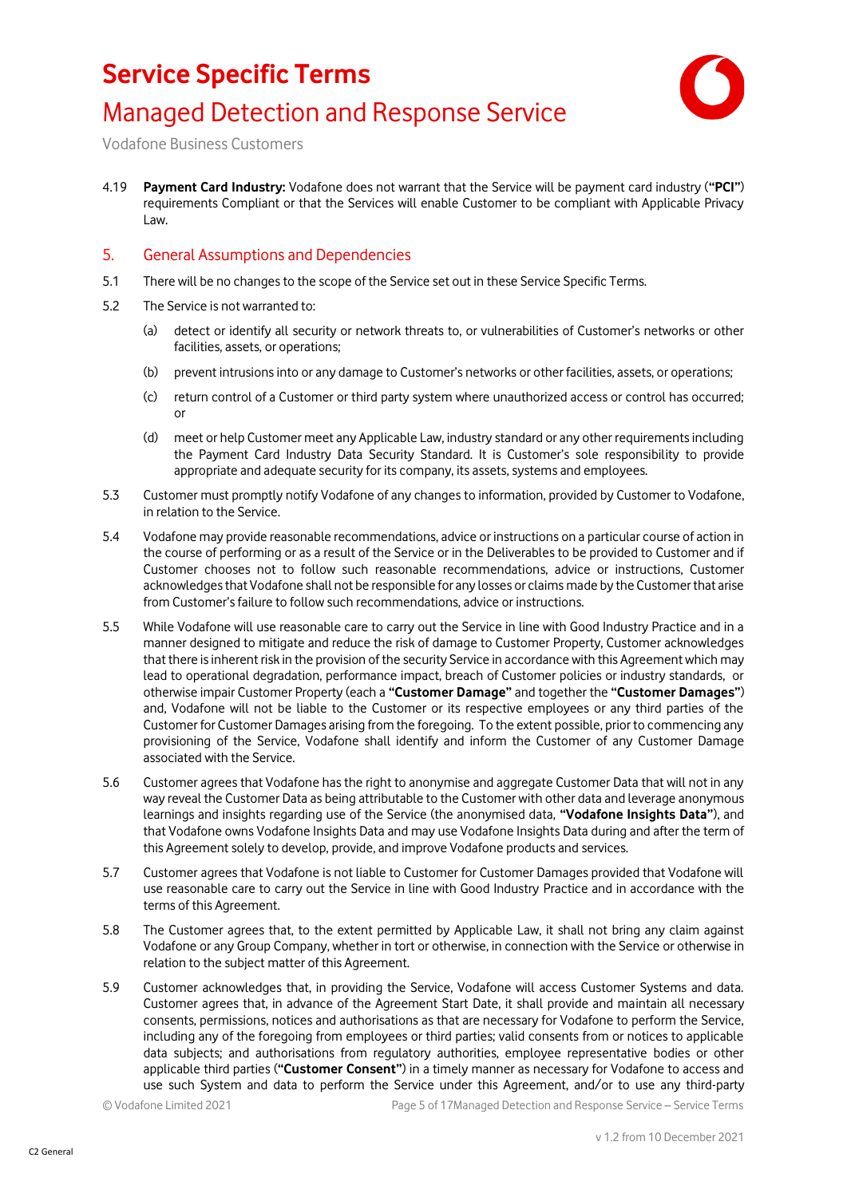

Vodafone Business Customers

4.19 **Payment Card Industry:** Vodafone does not warrant that the Service will be payment card industry (**"PCI"**) requirements Compliant or that the Services will enable Customer to be compliant with Applicable Privacy Law.

#### 5. General Assumptions and Dependencies

- 5.1 There will be no changes to the scope of the Service set out in these Service Specific Terms.
- 5.2 The Service is not warranted to:
	- (a) detect or identify all security or network threats to, or vulnerabilities of Customer's networks or other facilities, assets, or operations;
	- (b) prevent intrusions into or any damage to Customer's networks or other facilities, assets, or operations;
	- (c) return control of a Customer or third party system where unauthorized access or control has occurred; or
	- (d) meet or help Customer meet any Applicable Law, industry standard or any other requirements including the Payment Card Industry Data Security Standard. It is Customer's sole responsibility to provide appropriate and adequate security for its company, its assets, systems and employees.
- 5.3 Customer must promptly notify Vodafone of any changes to information, provided by Customer to Vodafone, in relation to the Service.
- 5.4 Vodafone may provide reasonable recommendations, advice or instructions on a particular course of action in the course of performing or as a result of the Service or in the Deliverables to be provided to Customer and if Customer chooses not to follow such reasonable recommendations, advice or instructions, Customer acknowledges that Vodafone shall not be responsible for any losses or claims made by the Customer that arise from Customer's failure to follow such recommendations, advice or instructions.
- 5.5 While Vodafone will use reasonable care to carry out the Service in line with Good Industry Practice and in a manner designed to mitigate and reduce the risk of damage to Customer Property, Customer acknowledges that there is inherent risk in the provision of the security Service in accordance with this Agreement which may lead to operational degradation, performance impact, breach of Customer policies or industry standards, or otherwise impair Customer Property (each a **"Customer Damage"** and together the **"Customer Damages"**) and, Vodafone will not be liable to the Customer or its respective employees or any third parties of the Customer for Customer Damages arising from the foregoing. To the extent possible, prior to commencing any provisioning of the Service, Vodafone shall identify and inform the Customer of any Customer Damage associated with the Service.
- 5.6 Customer agrees that Vodafone has the right to anonymise and aggregate Customer Data that will not in any way reveal the Customer Data as being attributable to the Customer with other data and leverage anonymous learnings and insights regarding use of the Service (the anonymised data, **"Vodafone Insights Data"**), and that Vodafone owns Vodafone Insights Data and may use Vodafone Insights Data during and after the term of this Agreement solely to develop, provide, and improve Vodafone products and services.
- 5.7 Customer agrees that Vodafone is not liable to Customer for Customer Damages provided that Vodafone will use reasonable care to carry out the Service in line with Good Industry Practice and in accordance with the terms of this Agreement.
- 5.8 The Customer agrees that, to the extent permitted by Applicable Law, it shall not bring any claim against Vodafone or any Group Company, whether in tort or otherwise, in connection with the Service or otherwise in relation to the subject matter of this Agreement.
- 5.9 Customer acknowledges that, in providing the Service, Vodafone will access Customer Systems and data. Customer agrees that, in advance of the Agreement Start Date, it shall provide and maintain all necessary consents, permissions, notices and authorisations as that are necessary for Vodafone to perform the Service, including any of the foregoing from employees or third parties; valid consents from or notices to applicable data subjects; and authorisations from regulatory authorities, employee representative bodies or other applicable third parties (**"Customer Consent"**) in a timely manner as necessary for Vodafone to access and use such System and data to perform the Service under this Agreement, and/or to use any third-party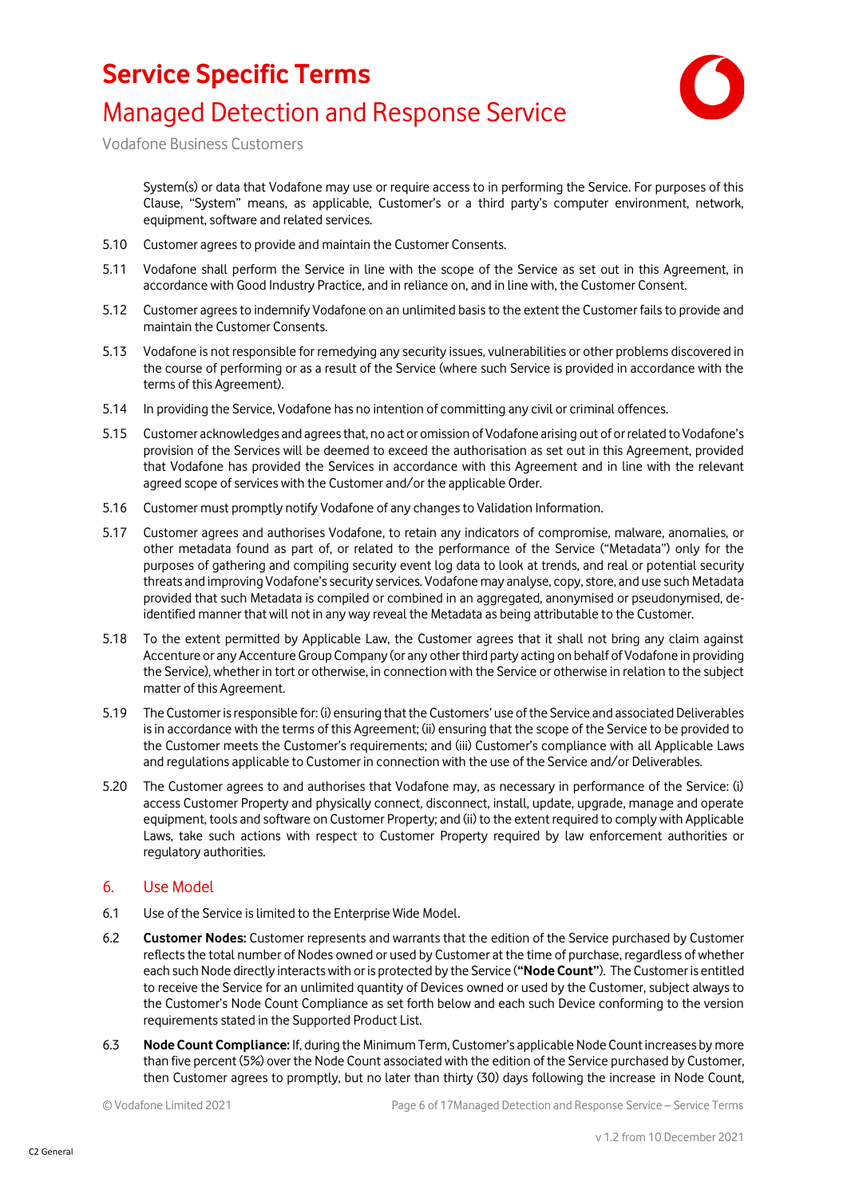

Vodafone Business Customers

System(s) or data that Vodafone may use or require access to in performing the Service. For purposes of this Clause, "System" means, as applicable, Customer's or a third party's computer environment, network, equipment, software and related services.

- 5.10 Customer agrees to provide and maintain the Customer Consents.
- 5.11 Vodafone shall perform the Service in line with the scope of the Service as set out in this Agreement, in accordance with Good Industry Practice, and in reliance on, and in line with, the Customer Consent.
- 5.12 Customer agrees to indemnify Vodafone on an unlimited basis to the extent the Customer fails to provide and maintain the Customer Consents.
- 5.13 Vodafone is not responsible for remedying any security issues, vulnerabilities or other problems discovered in the course of performing or as a result of the Service (where such Service is provided in accordance with the terms of this Agreement).
- 5.14 In providing the Service, Vodafone has no intention of committing any civil or criminal offences.
- 5.15 Customer acknowledges and agrees that, no act or omission of Vodafone arising out of or related to Vodafone's provision of the Services will be deemed to exceed the authorisation as set out in this Agreement, provided that Vodafone has provided the Services in accordance with this Agreement and in line with the relevant agreed scope of services with the Customer and/or the applicable Order.
- 5.16 Customer must promptly notify Vodafone of any changes to Validation Information.
- 5.17 Customer agrees and authorises Vodafone, to retain any indicators of compromise, malware, anomalies, or other metadata found as part of, or related to the performance of the Service ("Metadata") only for the purposes of gathering and compiling security event log data to look at trends, and real or potential security threats and improving Vodafone's security services. Vodafone may analyse, copy, store, and use such Metadata provided that such Metadata is compiled or combined in an aggregated, anonymised or pseudonymised, deidentified manner that will not in any way reveal the Metadata as being attributable to the Customer.
- 5.18 To the extent permitted by Applicable Law, the Customer agrees that it shall not bring any claim against Accenture or any Accenture Group Company (or any other third party acting on behalf of Vodafone in providing the Service), whether in tort or otherwise, in connection with the Service or otherwise in relation to the subject matter of this Agreement.
- 5.19 The Customer is responsible for: (i) ensuring that the Customers' use of the Service and associated Deliverables is in accordance with the terms of this Agreement; (ii) ensuring that the scope of the Service to be provided to the Customer meets the Customer's requirements; and (iii) Customer's compliance with all Applicable Laws and regulations applicable to Customer in connection with the use of the Service and/or Deliverables.
- 5.20 The Customer agrees to and authorises that Vodafone may, as necessary in performance of the Service: (i) access Customer Property and physically connect, disconnect, install, update, upgrade, manage and operate equipment, tools and software on Customer Property; and (ii) to the extent required to comply with Applicable Laws, take such actions with respect to Customer Property required by law enforcement authorities or regulatory authorities.

#### 6. Use Model

- 6.1 Use of the Service is limited to the Enterprise Wide Model.
- 6.2 **Customer Nodes:** Customer represents and warrants that the edition of the Service purchased by Customer reflects the total number of Nodes owned or used by Customer at the time of purchase, regardless of whether each such Node directly interacts with or is protected by the Service (**"Node Count"**). The Customer is entitled to receive the Service for an unlimited quantity of Devices owned or used by the Customer, subject always to the Customer's Node Count Compliance as set forth below and each such Device conforming to the version requirements stated in the Supported Product List.
- 6.3 **Node Count Compliance:** If, during the Minimum Term, Customer's applicable Node Count increases by more than five percent (5%) over the Node Count associated with the edition of the Service purchased by Customer, then Customer agrees to promptly, but no later than thirty (30) days following the increase in Node Count,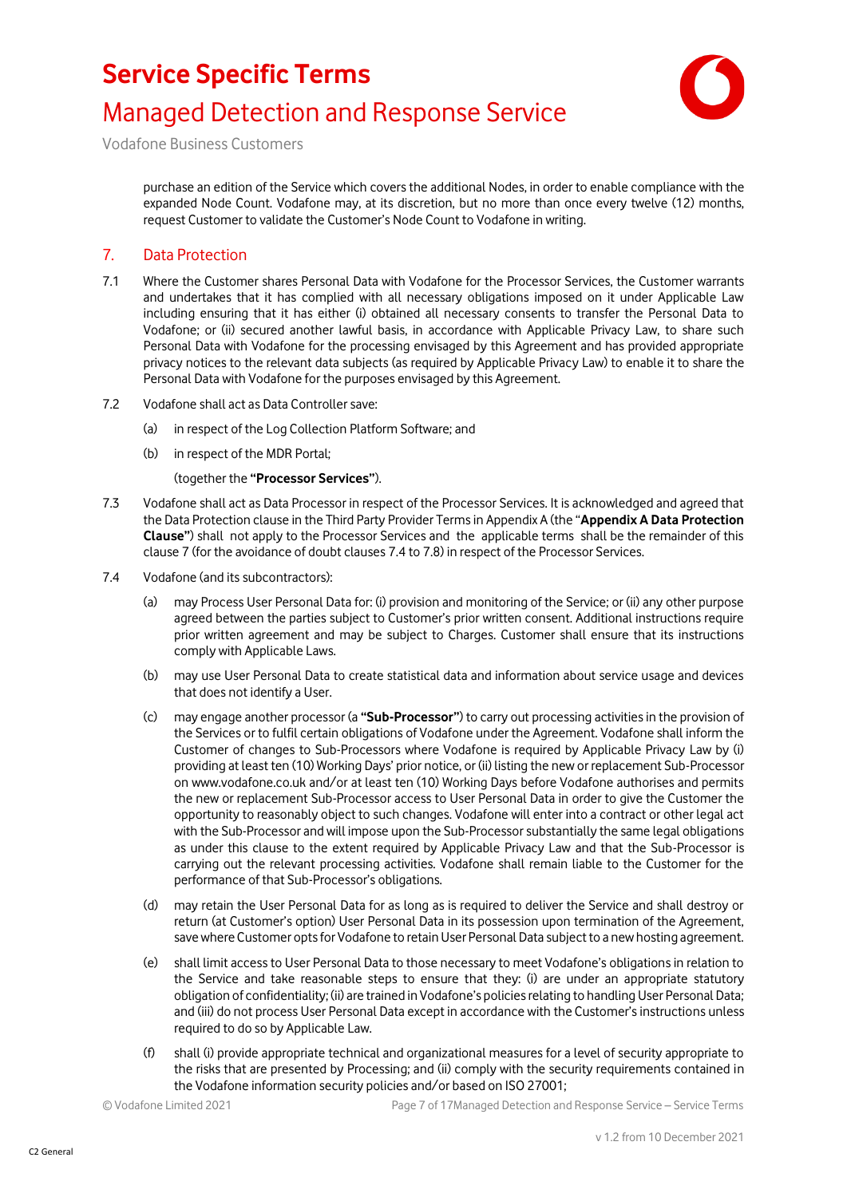

Vodafone Business Customers

purchase an edition of the Service which covers the additional Nodes, in order to enable compliance with the expanded Node Count. Vodafone may, at its discretion, but no more than once every twelve (12) months, request Customer to validate the Customer's Node Count to Vodafone in writing.

#### <span id="page-6-0"></span>7. Data Protection

- 7.1 Where the Customer shares Personal Data with Vodafone for the Processor Services, the Customer warrants and undertakes that it has complied with all necessary obligations imposed on it under Applicable Law including ensuring that it has either (i) obtained all necessary consents to transfer the Personal Data to Vodafone; or (ii) secured another lawful basis, in accordance with Applicable Privacy Law, to share such Personal Data with Vodafone for the processing envisaged by this Agreement and has provided appropriate privacy notices to the relevant data subjects (as required by Applicable Privacy Law) to enable it to share the Personal Data with Vodafone for the purposes envisaged by this Agreement.
- 7.2 Vodafone shall act as Data Controller save:
	- (a) in respect of the Log Collection Platform Software; and
	- (b) in respect of the MDR Portal;

(together the **"Processor Services"**).

- 7.3 Vodafone shall act as Data Processor in respect of the Processor Services. It is acknowledged and agreed that the Data Protection clause in the Third Party Provider Terms in Appendix A (the "**Appendix A Data Protection Clause"**) shall not apply to the Processor Services and the applicable terms shall be the remainder of this claus[e 7](#page-6-0) (for the avoidance of doubt clauses [7.4](#page-6-1) to [7.8\)](#page-7-0) in respect of the Processor Services.
- <span id="page-6-1"></span>7.4 Vodafone (and its subcontractors):
	- (a) may Process User Personal Data for: (i) provision and monitoring of the Service; or (ii) any other purpose agreed between the parties subject to Customer's prior written consent. Additional instructions require prior written agreement and may be subject to Charges. Customer shall ensure that its instructions comply with Applicable Laws.
	- (b) may use User Personal Data to create statistical data and information about service usage and devices that does not identify a User.
	- (c) may engage another processor (a **"Sub-Processor"**) to carry out processing activities in the provision of the Services or to fulfil certain obligations of Vodafone under the Agreement. Vodafone shall inform the Customer of changes to Sub-Processors where Vodafone is required by Applicable Privacy Law by (i) providing at least ten (10) Working Days' prior notice, or (ii) listing the new or replacement Sub-Processor on www.vodafone.co.uk and/or at least ten (10) Working Days before Vodafone authorises and permits the new or replacement Sub-Processor access to User Personal Data in order to give the Customer the opportunity to reasonably object to such changes. Vodafone will enter into a contract or other legal act with the Sub-Processor and will impose upon the Sub-Processor substantially the same legal obligations as under this clause to the extent required by Applicable Privacy Law and that the Sub-Processor is carrying out the relevant processing activities. Vodafone shall remain liable to the Customer for the performance of that Sub-Processor's obligations.
	- (d) may retain the User Personal Data for as long as is required to deliver the Service and shall destroy or return (at Customer's option) User Personal Data in its possession upon termination of the Agreement, save where Customer opts for Vodafone to retain User Personal Data subject to a new hosting agreement.
	- (e) shall limit access to User Personal Data to those necessary to meet Vodafone's obligations in relation to the Service and take reasonable steps to ensure that they: (i) are under an appropriate statutory obligation of confidentiality; (ii) are trained in Vodafone's policies relating to handling User Personal Data; and (iii) do not process User Personal Data except in accordance with the Customer's instructions unless required to do so by Applicable Law.
	- (f) shall (i) provide appropriate technical and organizational measures for a level of security appropriate to the risks that are presented by Processing; and (ii) comply with the security requirements contained in the Vodafone information security policies and/or based on ISO 27001;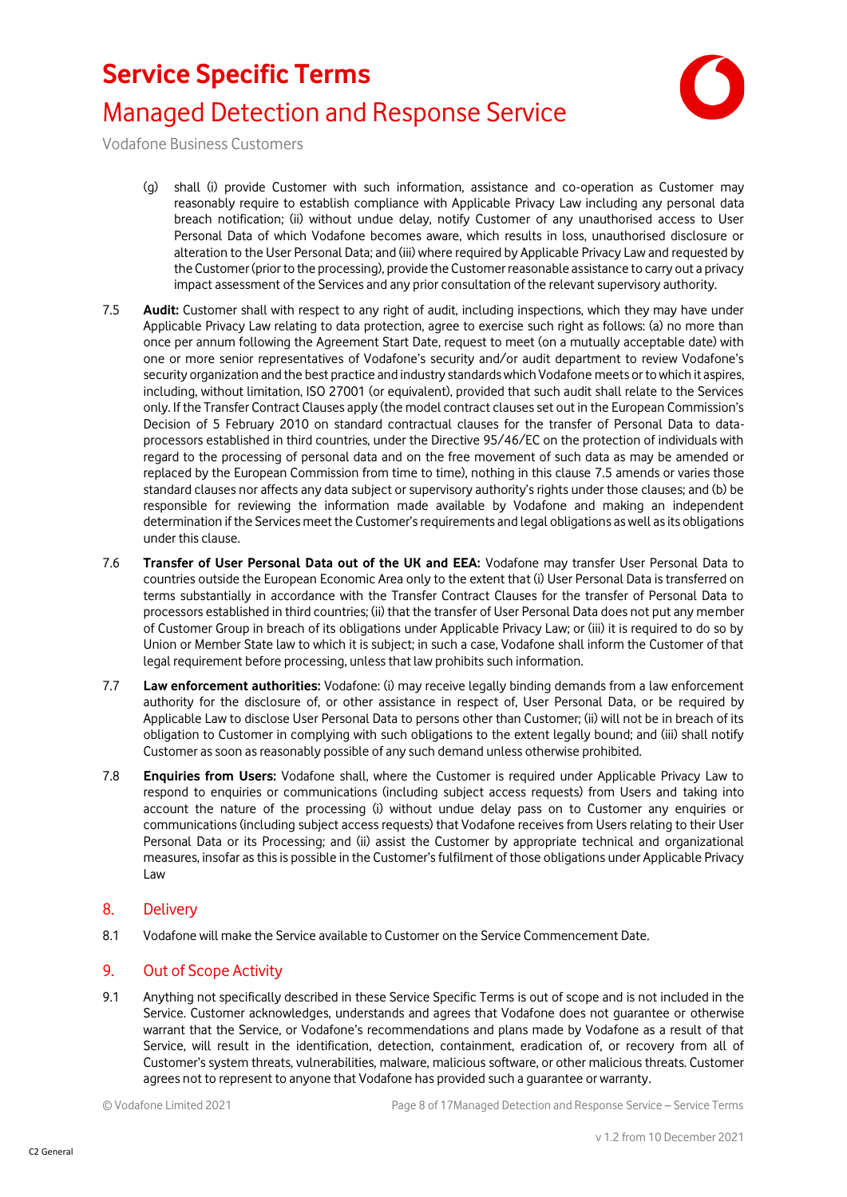

Vodafone Business Customers

- (g) shall (i) provide Customer with such information, assistance and co-operation as Customer may reasonably require to establish compliance with Applicable Privacy Law including any personal data breach notification; (ii) without undue delay, notify Customer of any unauthorised access to User Personal Data of which Vodafone becomes aware, which results in loss, unauthorised disclosure or alteration to the User Personal Data; and (iii) where required by Applicable Privacy Law and requested by the Customer (prior to the processing), provide the Customer reasonable assistance to carry out a privacy impact assessment of the Services and any prior consultation of the relevant supervisory authority.
- <span id="page-7-1"></span>7.5 **Audit:** Customer shall with respect to any right of audit, including inspections, which they may have under Applicable Privacy Law relating to data protection, agree to exercise such right as follows: (a) no more than once per annum following the Agreement Start Date, request to meet (on a mutually acceptable date) with one or more senior representatives of Vodafone's security and/or audit department to review Vodafone's security organization and the best practice and industry standards which Vodafone meets or to which it aspires, including, without limitation, ISO 27001 (or equivalent), provided that such audit shall relate to the Services only. If the Transfer Contract Clauses apply (the model contract clauses set out in the European Commission's Decision of 5 February 2010 on standard contractual clauses for the transfer of Personal Data to dataprocessors established in third countries, under the Directive 95/46/EC on the protection of individuals with regard to the processing of personal data and on the free movement of such data as may be amended or replaced by the European Commission from time to time), nothing in this clause [7.5](#page-7-1) amends or varies those standard clauses nor affects any data subject or supervisory authority's rights under those clauses; and (b) be responsible for reviewing the information made available by Vodafone and making an independent determination if the Services meet the Customer's requirements and legal obligations as well as its obligations under this clause.
- 7.6 **Transfer of User Personal Data out of the UK and EEA:** Vodafone may transfer User Personal Data to countries outside the European Economic Area only to the extent that (i) User Personal Data is transferred on terms substantially in accordance with the Transfer Contract Clauses for the transfer of Personal Data to processors established in third countries; (ii) that the transfer of User Personal Data does not put any member of Customer Group in breach of its obligations under Applicable Privacy Law; or (iii) it is required to do so by Union or Member State law to which it is subject; in such a case, Vodafone shall inform the Customer of that legal requirement before processing, unless that law prohibits such information.
- 7.7 **Law enforcement authorities:** Vodafone: (i) may receive legally binding demands from a law enforcement authority for the disclosure of, or other assistance in respect of, User Personal Data, or be required by Applicable Law to disclose User Personal Data to persons other than Customer; (ii) will not be in breach of its obligation to Customer in complying with such obligations to the extent legally bound; and (iii) shall notify Customer as soon as reasonably possible of any such demand unless otherwise prohibited.
- <span id="page-7-0"></span>7.8 **Enquiries from Users:** Vodafone shall, where the Customer is required under Applicable Privacy Law to respond to enquiries or communications (including subject access requests) from Users and taking into account the nature of the processing (i) without undue delay pass on to Customer any enquiries or communications (including subject access requests) that Vodafone receives from Users relating to their User Personal Data or its Processing; and (ii) assist the Customer by appropriate technical and organizational measures, insofar as this is possible in the Customer's fulfilment of those obligations under Applicable Privacy Law
- 8. Delivery
- 8.1 Vodafone will make the Service available to Customer on the Service Commencement Date.

#### 9. Out of Scope Activity

9.1 Anything not specifically described in these Service Specific Terms is out of scope and is not included in the Service. Customer acknowledges, understands and agrees that Vodafone does not guarantee or otherwise warrant that the Service, or Vodafone's recommendations and plans made by Vodafone as a result of that Service, will result in the identification, detection, containment, eradication of, or recovery from all of Customer's system threats, vulnerabilities, malware, malicious software, or other malicious threats. Customer agrees not to represent to anyone that Vodafone has provided such a guarantee or warranty.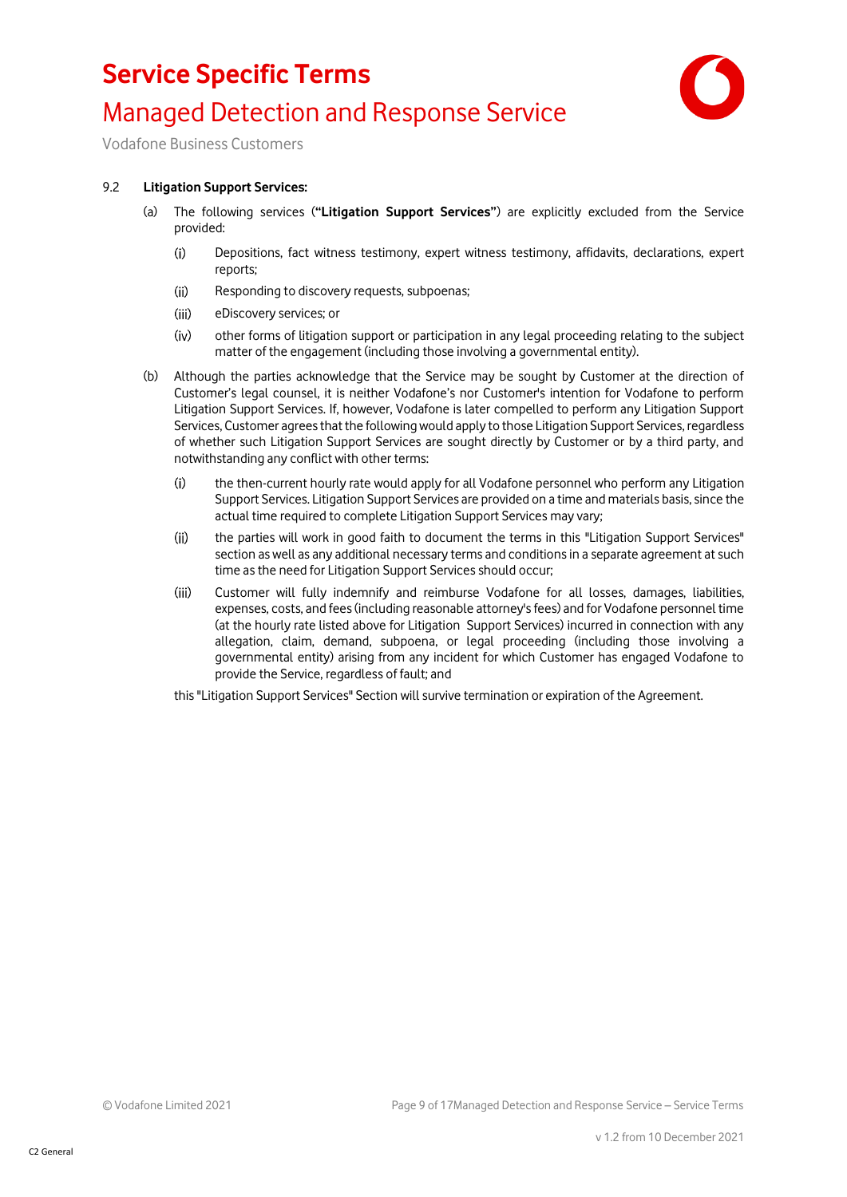### **Service Specific Terms**



### Managed Detection and Response Service

Vodafone Business Customers

#### 9.2 **Litigation Support Services:**

- (a) The following services (**"Litigation Support Services"**) are explicitly excluded from the Service provided:
	- $(i)$ Depositions, fact witness testimony, expert witness testimony, affidavits, declarations, expert reports;
	- $(ii)$ Responding to discovery requests, subpoenas;
	- $(iii)$ eDiscovery services; or
	- $(iv)$ other forms of litigation support or participation in any legal proceeding relating to the subject matter of the engagement (including those involving a governmental entity).
- (b) Although the parties acknowledge that the Service may be sought by Customer at the direction of Customer's legal counsel, it is neither Vodafone's nor Customer's intention for Vodafone to perform Litigation Support Services. If, however, Vodafone is later compelled to perform any Litigation Support Services, Customer agrees that the following would apply to those Litigation Support Services, regardless of whether such Litigation Support Services are sought directly by Customer or by a third party, and notwithstanding any conflict with other terms:
	- $(i)$ the then-current hourly rate would apply for all Vodafone personnel who perform any Litigation Support Services. Litigation Support Services are provided on a time and materials basis, since the actual time required to complete Litigation Support Services may vary;
	- $(ii)$ the parties will work in good faith to document the terms in this "Litigation Support Services" section as well as any additional necessary terms and conditions in a separate agreement at such time as the need for Litigation Support Services should occur;
	- $(iii)$ Customer will fully indemnify and reimburse Vodafone for all losses, damages, liabilities, expenses, costs, and fees (including reasonable attorney's fees) and for Vodafone personnel time (at the hourly rate listed above for Litigation Support Services) incurred in connection with any allegation, claim, demand, subpoena, or legal proceeding (including those involving a governmental entity) arising from any incident for which Customer has engaged Vodafone to provide the Service, regardless of fault; and

this "Litigation Support Services" Section will survive termination or expiration of the Agreement.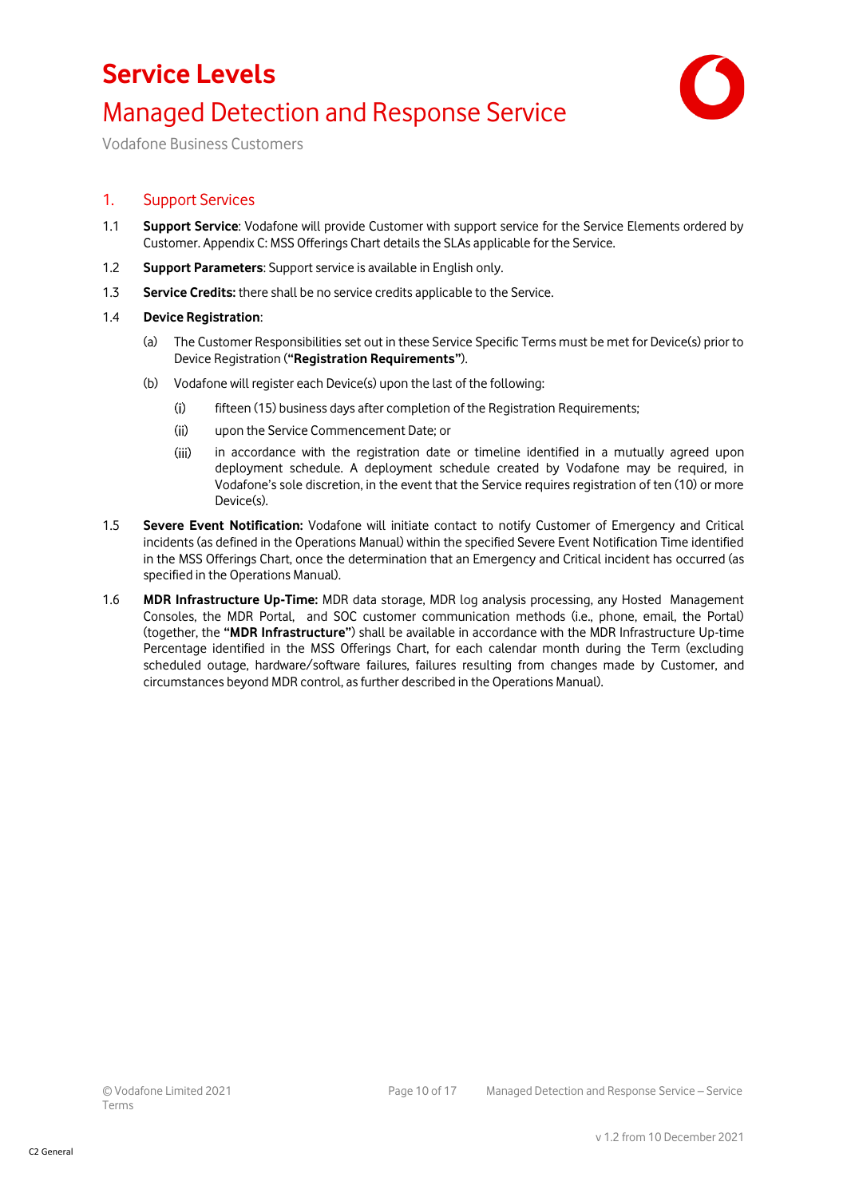## **Service Levels** Managed Detection and Response Service



Vodafone Business Customers

#### 1. Support Services

- 1.1 **Support Service**: Vodafone will provide Customer with support service for the Service Elements ordered by Customer. Appendix C: MSS Offerings Chart details the SLAs applicable for the Service.
- 1.2 **Support Parameters**: Support service is available in English only.
- 1.3 **Service Credits:** there shall be no service credits applicable to the Service.
- 1.4 **Device Registration**:
	- (a) The Customer Responsibilities set out in these Service Specific Terms must be met for Device(s) prior to Device Registration (**"Registration Requirements"**).
	- (b) Vodafone will register each Device(s) upon the last of the following:
		- $(i)$ fifteen (15) business days after completion of the Registration Requirements;
		- $(ii)$ upon the Service Commencement Date; or
		- $(iii)$ in accordance with the registration date or timeline identified in a mutually agreed upon deployment schedule. A deployment schedule created by Vodafone may be required, in Vodafone's sole discretion, in the event that the Service requires registration of ten (10) or more Device(s).
- 1.5 **Severe Event Notification:** Vodafone will initiate contact to notify Customer of Emergency and Critical incidents (as defined in the Operations Manual) within the specified Severe Event Notification Time identified in the MSS Offerings Chart, once the determination that an Emergency and Critical incident has occurred (as specified in the Operations Manual).
- 1.6 **MDR Infrastructure Up-Time:** MDR data storage, MDR log analysis processing, any Hosted Management Consoles, the MDR Portal, and SOC customer communication methods (i.e., phone, email, the Portal) (together, the **"MDR Infrastructure"**) shall be available in accordance with the MDR Infrastructure Up-time Percentage identified in the MSS Offerings Chart, for each calendar month during the Term (excluding scheduled outage, hardware/software failures, failures resulting from changes made by Customer, and circumstances beyond MDR control, as further described in the Operations Manual).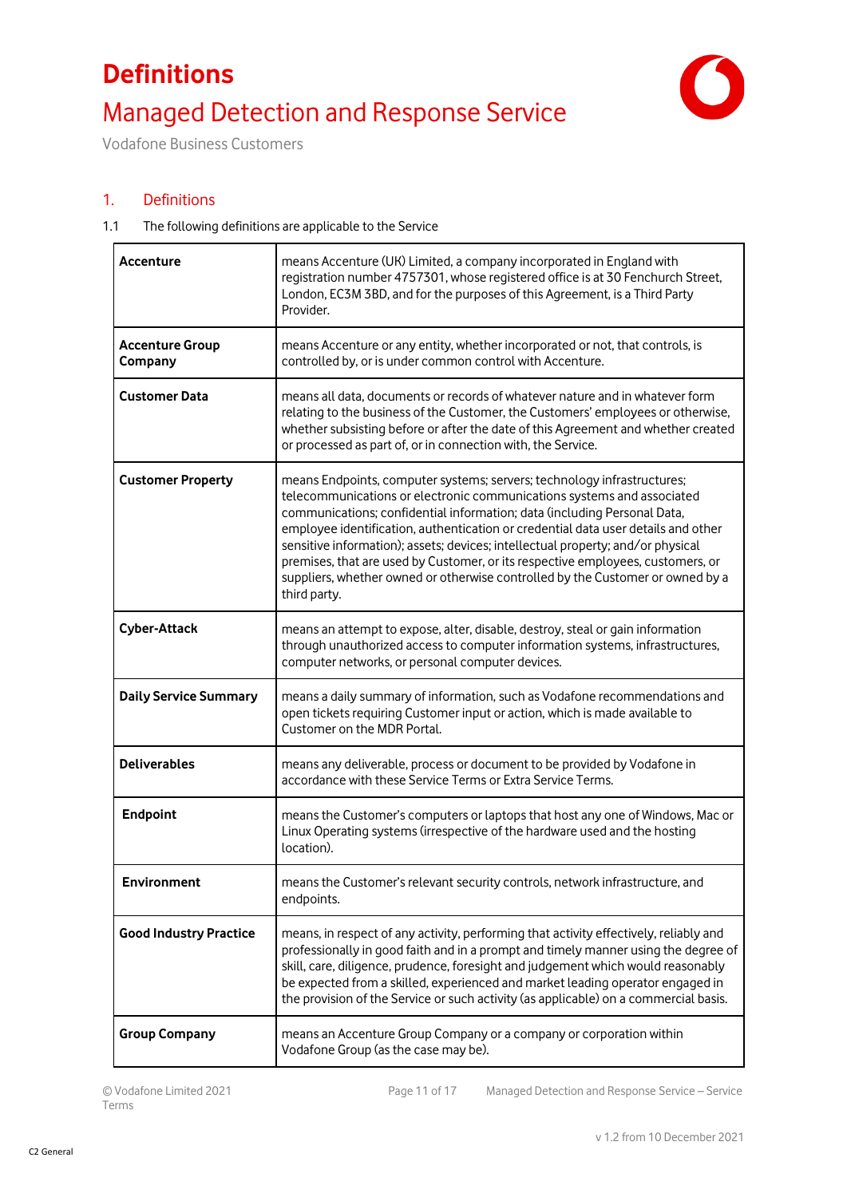# **Definitions** Managed Detection and Response Service



Vodafone Business Customers

### 1. Definitions

#### 1.1 The following definitions are applicable to the Service

| Accenture                         | means Accenture (UK) Limited, a company incorporated in England with<br>registration number 4757301, whose registered office is at 30 Fenchurch Street,<br>London, EC3M 3BD, and for the purposes of this Agreement, is a Third Party<br>Provider.                                                                                                                                                                                                                                                                                                                                         |
|-----------------------------------|--------------------------------------------------------------------------------------------------------------------------------------------------------------------------------------------------------------------------------------------------------------------------------------------------------------------------------------------------------------------------------------------------------------------------------------------------------------------------------------------------------------------------------------------------------------------------------------------|
| <b>Accenture Group</b><br>Company | means Accenture or any entity, whether incorporated or not, that controls, is<br>controlled by, or is under common control with Accenture.                                                                                                                                                                                                                                                                                                                                                                                                                                                 |
| <b>Customer Data</b>              | means all data, documents or records of whatever nature and in whatever form<br>relating to the business of the Customer, the Customers' employees or otherwise,<br>whether subsisting before or after the date of this Agreement and whether created<br>or processed as part of, or in connection with, the Service.                                                                                                                                                                                                                                                                      |
| <b>Customer Property</b>          | means Endpoints, computer systems; servers; technology infrastructures;<br>telecommunications or electronic communications systems and associated<br>communications; confidential information; data (including Personal Data,<br>employee identification, authentication or credential data user details and other<br>sensitive information); assets; devices; intellectual property; and/or physical<br>premises, that are used by Customer, or its respective employees, customers, or<br>suppliers, whether owned or otherwise controlled by the Customer or owned by a<br>third party. |
| <b>Cyber-Attack</b>               | means an attempt to expose, alter, disable, destroy, steal or gain information<br>through unauthorized access to computer information systems, infrastructures,<br>computer networks, or personal computer devices.                                                                                                                                                                                                                                                                                                                                                                        |
| <b>Daily Service Summary</b>      | means a daily summary of information, such as Vodafone recommendations and<br>open tickets requiring Customer input or action, which is made available to<br>Customer on the MDR Portal.                                                                                                                                                                                                                                                                                                                                                                                                   |
| <b>Deliverables</b>               | means any deliverable, process or document to be provided by Vodafone in<br>accordance with these Service Terms or Extra Service Terms.                                                                                                                                                                                                                                                                                                                                                                                                                                                    |
| <b>Endpoint</b>                   | means the Customer's computers or laptops that host any one of Windows, Mac or<br>Linux Operating systems (irrespective of the hardware used and the hosting<br>location).                                                                                                                                                                                                                                                                                                                                                                                                                 |
| Environment                       | means the Customer's relevant security controls, network infrastructure, and<br>endpoints.                                                                                                                                                                                                                                                                                                                                                                                                                                                                                                 |
| <b>Good Industry Practice</b>     | means, in respect of any activity, performing that activity effectively, reliably and<br>professionally in good faith and in a prompt and timely manner using the degree of<br>skill, care, diligence, prudence, foresight and judgement which would reasonably<br>be expected from a skilled, experienced and market leading operator engaged in<br>the provision of the Service or such activity (as applicable) on a commercial basis.                                                                                                                                                  |
| <b>Group Company</b>              | means an Accenture Group Company or a company or corporation within<br>Vodafone Group (as the case may be).                                                                                                                                                                                                                                                                                                                                                                                                                                                                                |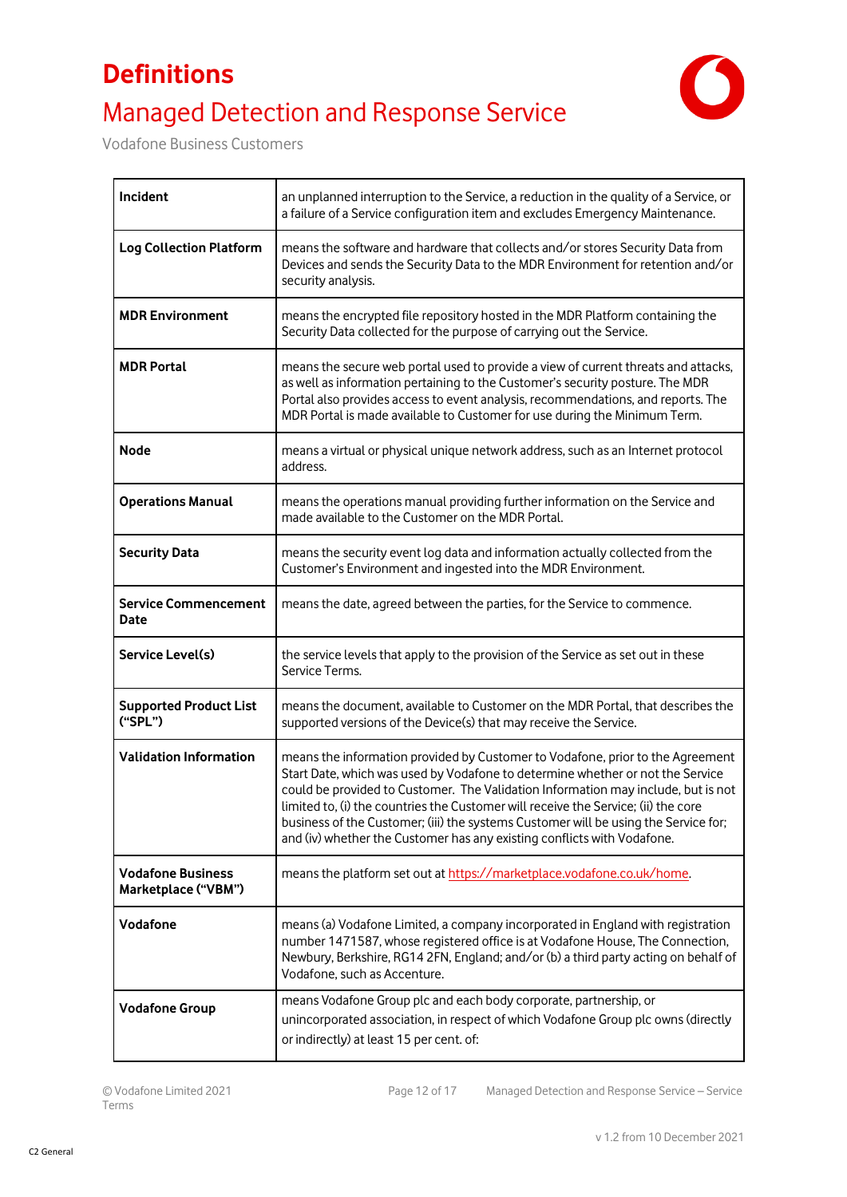# **Definitions** Managed Detection and Response Service



Vodafone Business Customers

| Incident                                        | an unplanned interruption to the Service, a reduction in the quality of a Service, or<br>a failure of a Service configuration item and excludes Emergency Maintenance.                                                                                                                                                                                                                                                                                                                                        |
|-------------------------------------------------|---------------------------------------------------------------------------------------------------------------------------------------------------------------------------------------------------------------------------------------------------------------------------------------------------------------------------------------------------------------------------------------------------------------------------------------------------------------------------------------------------------------|
| <b>Log Collection Platform</b>                  | means the software and hardware that collects and/or stores Security Data from<br>Devices and sends the Security Data to the MDR Environment for retention and/or<br>security analysis.                                                                                                                                                                                                                                                                                                                       |
| <b>MDR Environment</b>                          | means the encrypted file repository hosted in the MDR Platform containing the<br>Security Data collected for the purpose of carrying out the Service.                                                                                                                                                                                                                                                                                                                                                         |
| <b>MDR Portal</b>                               | means the secure web portal used to provide a view of current threats and attacks,<br>as well as information pertaining to the Customer's security posture. The MDR<br>Portal also provides access to event analysis, recommendations, and reports. The<br>MDR Portal is made available to Customer for use during the Minimum Term.                                                                                                                                                                          |
| <b>Node</b>                                     | means a virtual or physical unique network address, such as an Internet protocol<br>address.                                                                                                                                                                                                                                                                                                                                                                                                                  |
| <b>Operations Manual</b>                        | means the operations manual providing further information on the Service and<br>made available to the Customer on the MDR Portal.                                                                                                                                                                                                                                                                                                                                                                             |
| <b>Security Data</b>                            | means the security event log data and information actually collected from the<br>Customer's Environment and ingested into the MDR Environment.                                                                                                                                                                                                                                                                                                                                                                |
| <b>Service Commencement</b><br>Date             | means the date, agreed between the parties, for the Service to commence.                                                                                                                                                                                                                                                                                                                                                                                                                                      |
| Service Level(s)                                | the service levels that apply to the provision of the Service as set out in these<br>Service Terms.                                                                                                                                                                                                                                                                                                                                                                                                           |
| <b>Supported Product List</b><br>("SPL")        | means the document, available to Customer on the MDR Portal, that describes the<br>supported versions of the Device(s) that may receive the Service.                                                                                                                                                                                                                                                                                                                                                          |
| <b>Validation Information</b>                   | means the information provided by Customer to Vodafone, prior to the Agreement<br>Start Date, which was used by Vodafone to determine whether or not the Service<br>could be provided to Customer. The Validation Information may include, but is not<br>limited to, (i) the countries the Customer will receive the Service; (ii) the core<br>business of the Customer; (iii) the systems Customer will be using the Service for;<br>and (iv) whether the Customer has any existing conflicts with Vodafone. |
| <b>Vodafone Business</b><br>Marketplace ("VBM") | means the platform set out at https://marketplace.vodafone.co.uk/home.                                                                                                                                                                                                                                                                                                                                                                                                                                        |
| Vodafone                                        | means (a) Vodafone Limited, a company incorporated in England with registration<br>number 1471587, whose registered office is at Vodafone House, The Connection,<br>Newbury, Berkshire, RG14 2FN, England; and/or (b) a third party acting on behalf of<br>Vodafone, such as Accenture.                                                                                                                                                                                                                       |
| <b>Vodafone Group</b>                           | means Vodafone Group plc and each body corporate, partnership, or<br>unincorporated association, in respect of which Vodafone Group plc owns (directly<br>or indirectly) at least 15 per cent. of:                                                                                                                                                                                                                                                                                                            |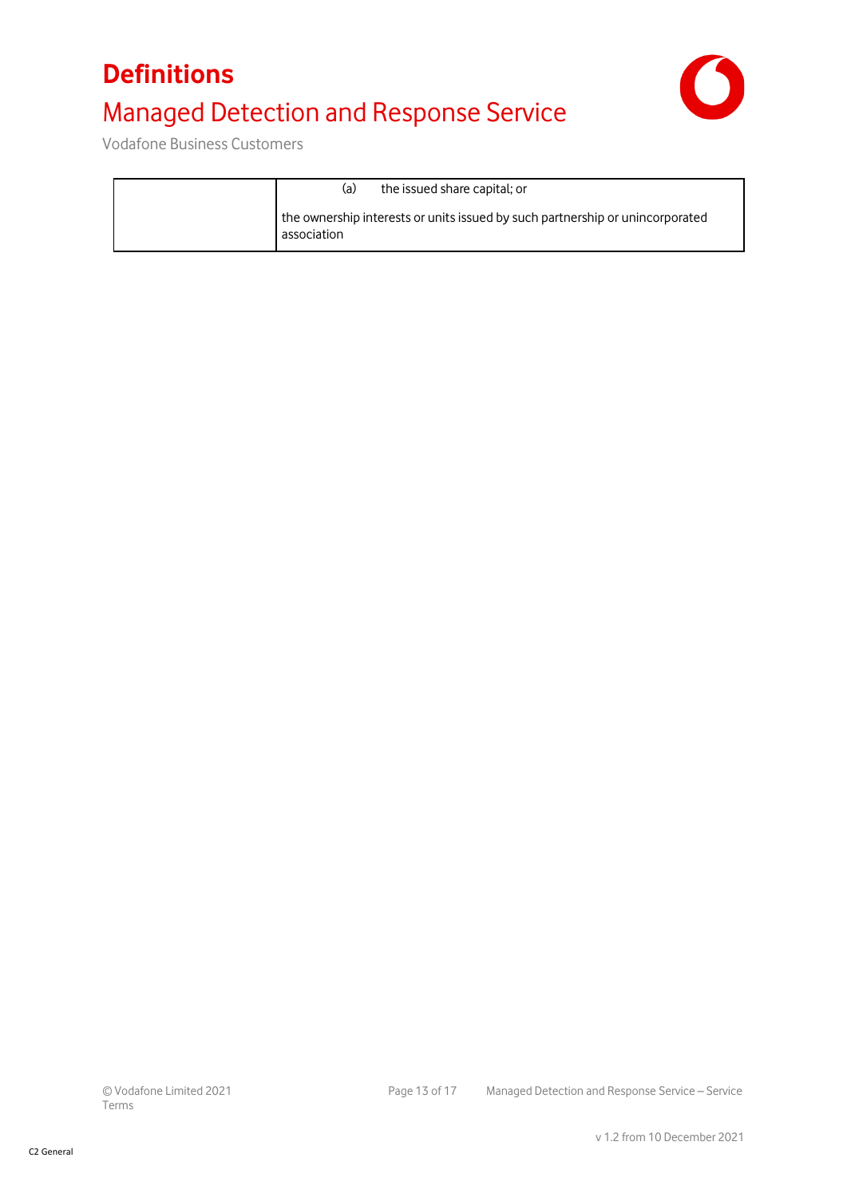## **Definitions** Managed Detection and Response Service



Vodafone Business Customers

| the issued share capital; or<br>(a)                                                          |
|----------------------------------------------------------------------------------------------|
| the ownership interests or units issued by such partnership or unincorporated<br>association |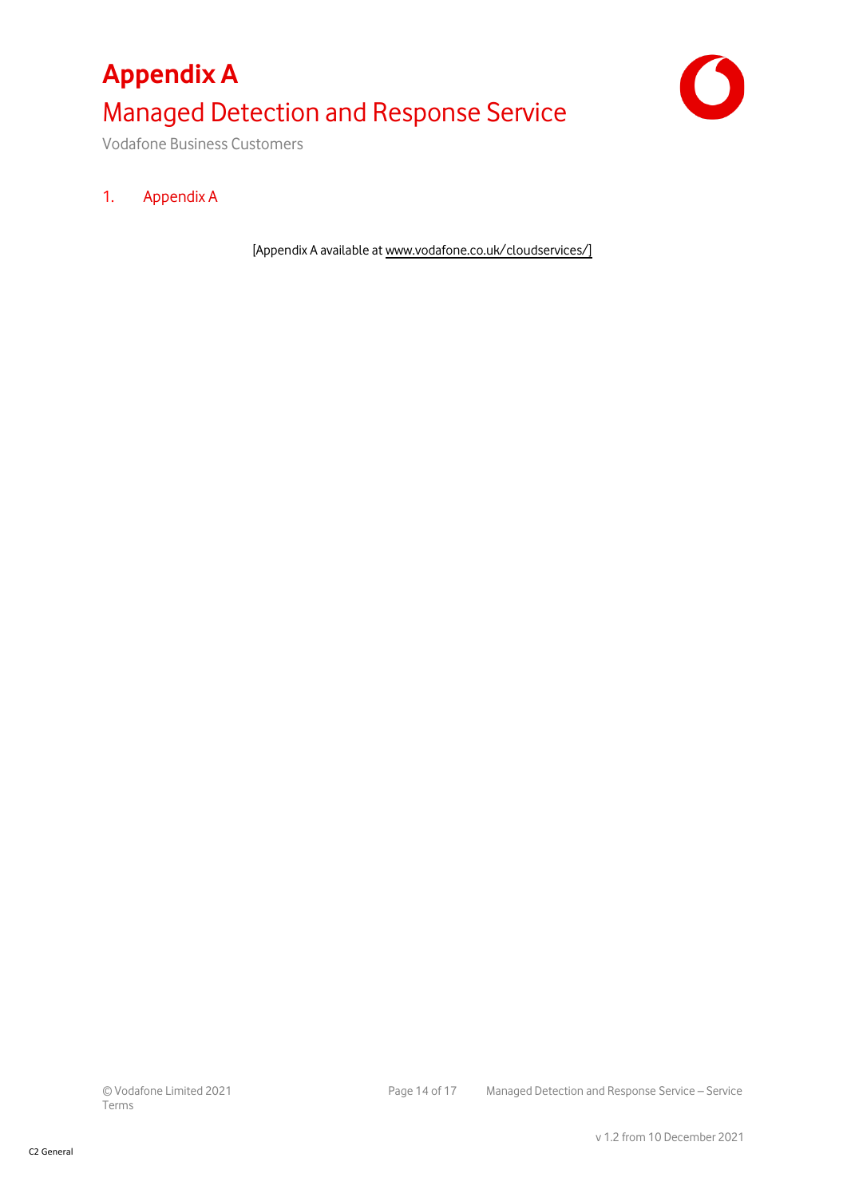# **Appendix A** Managed Detection and Response Service



Vodafone Business Customers

### 1. Appendix A

[Appendix A available a[t www.vodafone.co.uk/cloudservices/\]](http://www.vodafone.co.uk/cloudservices/)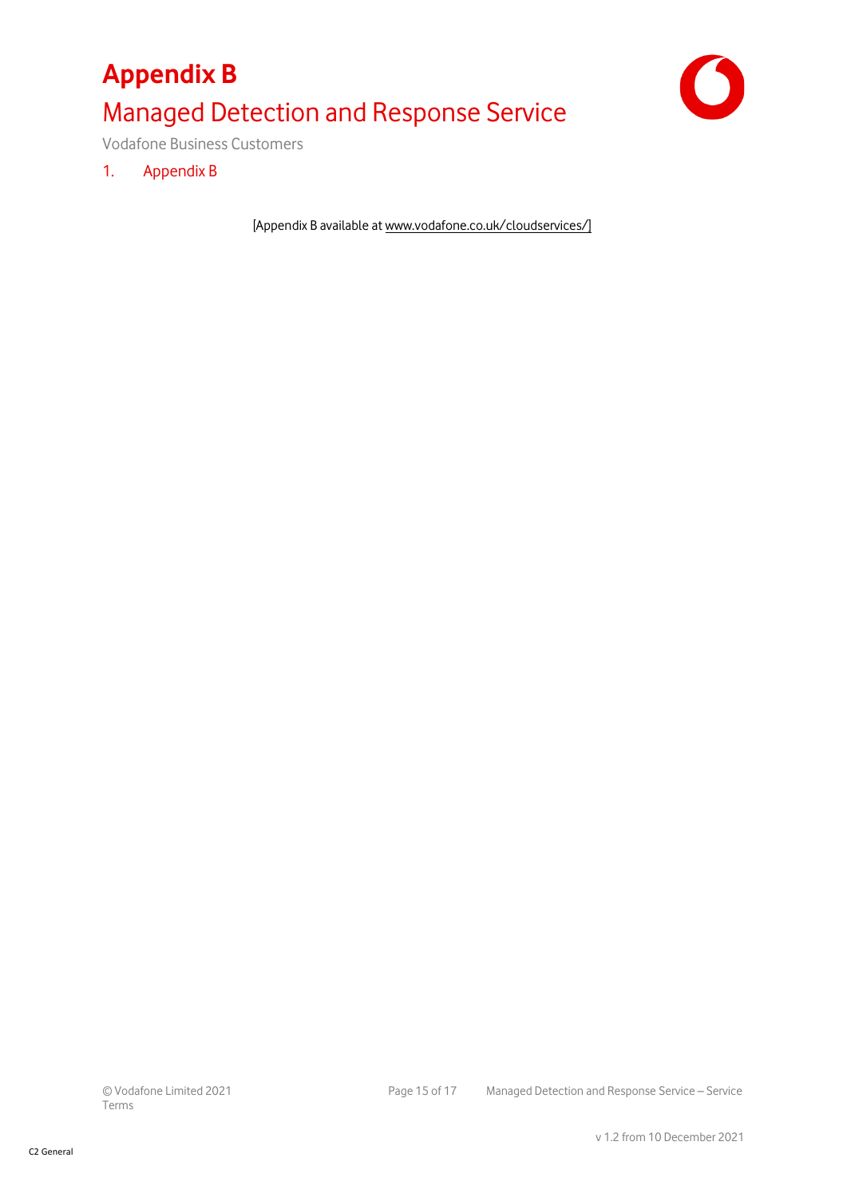# **Appendix B** Managed Detection and Response Service



Vodafone Business Customers

1. Appendix B

[Appendix B available at [www.vodafone.co.uk/cloudservices/\]](http://www.vodafone.co.uk/cloudservices/)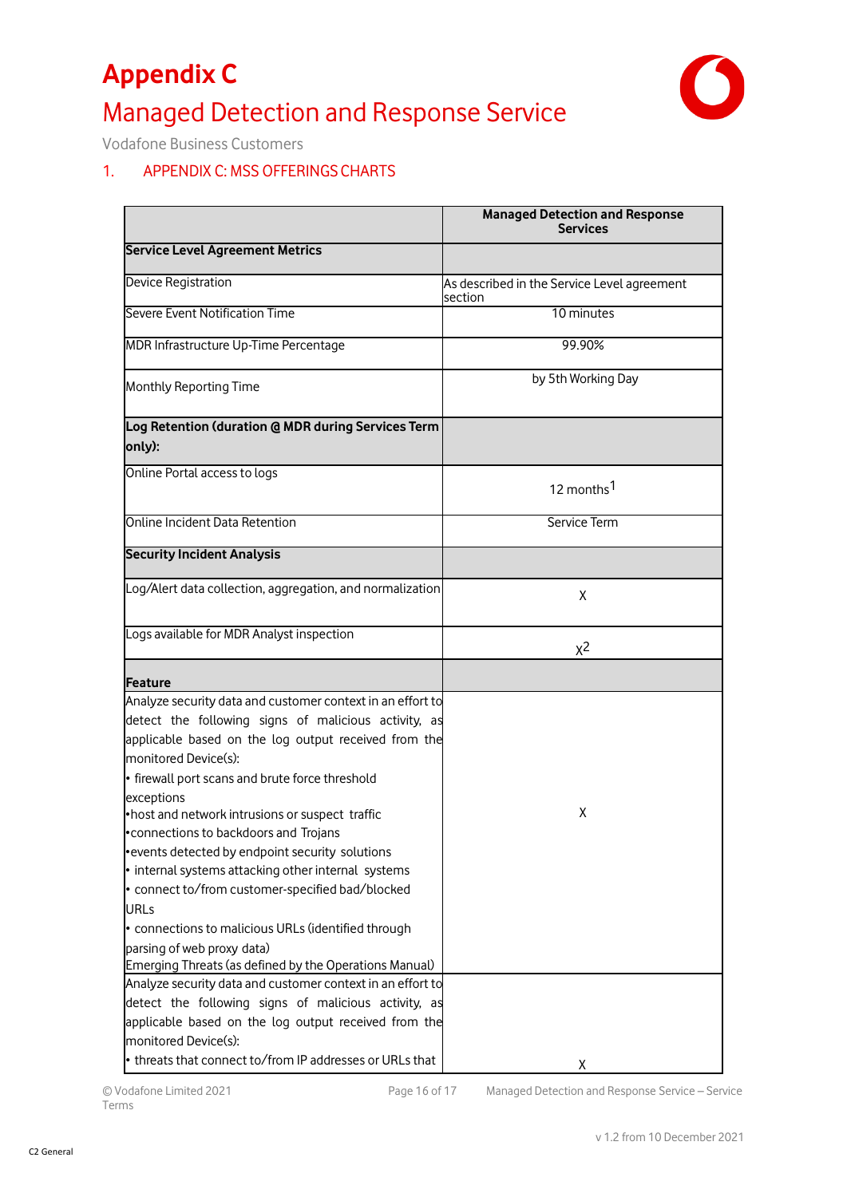# **Appendix C** Managed Detection and Response Service



Vodafone Business Customers

### 1. APPENDIX C: MSS OFFERINGS CHARTS

|                                                                                      | <b>Managed Detection and Response</b><br><b>Services</b> |
|--------------------------------------------------------------------------------------|----------------------------------------------------------|
| <b>Service Level Agreement Metrics</b>                                               |                                                          |
| <b>Device Registration</b>                                                           | As described in the Service Level agreement<br>section   |
| Severe Event Notification Time                                                       | 10 minutes                                               |
| MDR Infrastructure Up-Time Percentage                                                | 99.90%                                                   |
| Monthly Reporting Time                                                               | by 5th Working Day                                       |
| Log Retention (duration @ MDR during Services Term<br>only):                         |                                                          |
| Online Portal access to logs                                                         | 12 months <sup>1</sup>                                   |
| Online Incident Data Retention                                                       | Service Term                                             |
| <b>Security Incident Analysis</b>                                                    |                                                          |
| Log/Alert data collection, aggregation, and normalization                            | X                                                        |
| Logs available for MDR Analyst inspection                                            | $x^2$                                                    |
|                                                                                      |                                                          |
| <b>Feature</b>                                                                       |                                                          |
| Analyze security data and customer context in an effort to                           |                                                          |
| detect the following signs of malicious activity, as                                 |                                                          |
| applicable based on the log output received from the                                 |                                                          |
| monitored Device(s):                                                                 |                                                          |
| • firewall port scans and brute force threshold                                      |                                                          |
| exceptions                                                                           |                                                          |
| •host and network intrusions or suspect traffic                                      | X                                                        |
| •connections to backdoors and Trojans                                                |                                                          |
| • events detected by endpoint security solutions                                     |                                                          |
| • internal systems attacking other internal systems                                  |                                                          |
| • connect to/from customer-specified bad/blocked                                     |                                                          |
| <b>URLs</b>                                                                          |                                                          |
| • connections to malicious URLs (identified through                                  |                                                          |
| parsing of web proxy data)<br>Emerging Threats (as defined by the Operations Manual) |                                                          |
| Analyze security data and customer context in an effort to                           |                                                          |
| detect the following signs of malicious activity, as                                 |                                                          |
| applicable based on the log output received from the                                 |                                                          |
| monitored Device(s):                                                                 |                                                          |
| • threats that connect to/from IP addresses or URLs that                             | X.                                                       |

© Vodafone Limited 2021 Page 16 of 17 Managed Detection and Response Service – Service